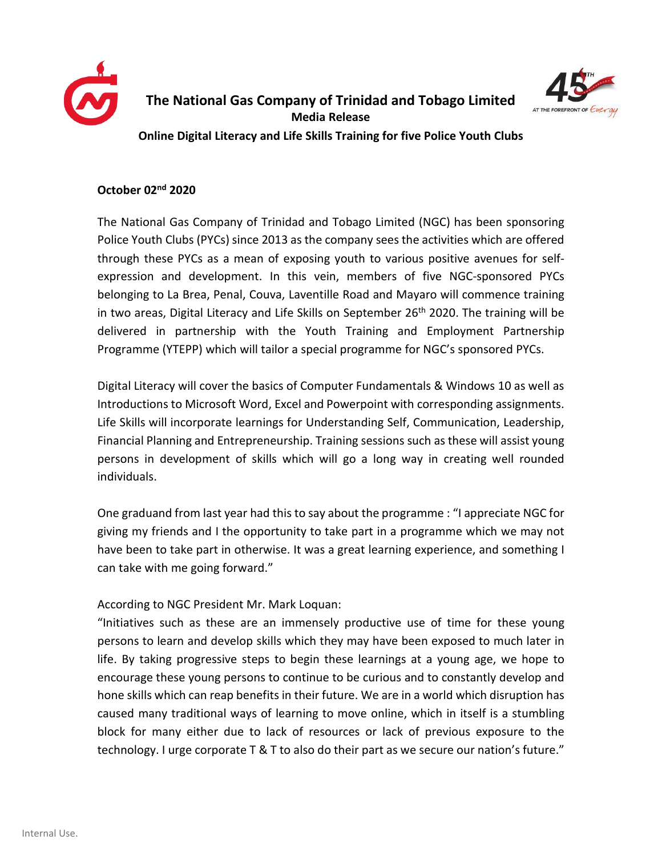



**Online Digital Literacy and Life Skills Training for five Police Youth Clubs**

## **October 02nd 2020**

The National Gas Company of Trinidad and Tobago Limited (NGC) has been sponsoring Police Youth Clubs (PYCs) since 2013 as the company sees the activities which are offered through these PYCs as a mean of exposing youth to various positive avenues for selfexpression and development. In this vein, members of five NGC-sponsored PYCs belonging to La Brea, Penal, Couva, Laventille Road and Mayaro will commence training in two areas, Digital Literacy and Life Skills on September  $26<sup>th</sup>$  2020. The training will be delivered in partnership with the Youth Training and Employment Partnership Programme (YTEPP) which will tailor a special programme for NGC's sponsored PYCs.

Digital Literacy will cover the basics of Computer Fundamentals & Windows 10 as well as Introductions to Microsoft Word, Excel and Powerpoint with corresponding assignments. Life Skills will incorporate learnings for Understanding Self, Communication, Leadership, Financial Planning and Entrepreneurship. Training sessions such as these will assist young persons in development of skills which will go a long way in creating well rounded individuals.

One graduand from last year had this to say about the programme : "I appreciate NGC for giving my friends and I the opportunity to take part in a programme which we may not have been to take part in otherwise. It was a great learning experience, and something I can take with me going forward."

## According to NGC President Mr. Mark Loquan:

"Initiatives such as these are an immensely productive use of time for these young persons to learn and develop skills which they may have been exposed to much later in life. By taking progressive steps to begin these learnings at a young age, we hope to encourage these young persons to continue to be curious and to constantly develop and hone skills which can reap benefits in their future. We are in a world which disruption has caused many traditional ways of learning to move online, which in itself is a stumbling block for many either due to lack of resources or lack of previous exposure to the technology. I urge corporate T & T to also do their part as we secure our nation's future."